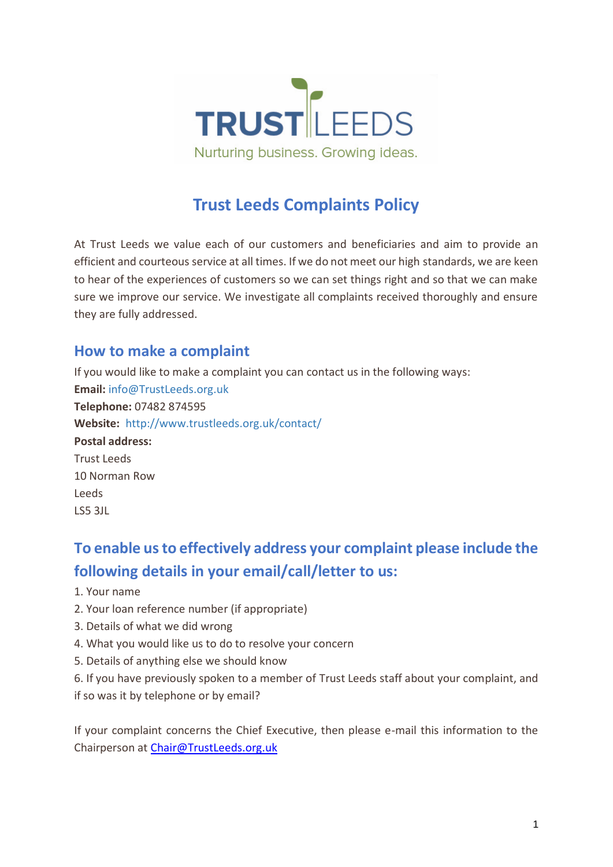

# **Trust Leeds Complaints Policy**

At Trust Leeds we value each of our customers and beneficiaries and aim to provide an efficient and courteous service at all times. If we do not meet our high standards, we are keen to hear of the experiences of customers so we can set things right and so that we can make sure we improve our service. We investigate all complaints received thoroughly and ensure they are fully addressed.

#### **How to make a complaint**

If you would like to make a complaint you can contact us in the following ways: **Email:** [info@TrustLeeds.org.uk](mailto:enquiries@fairfinance.org.uk&subject=Fair%20Finance%20Complaint&body=%20What%20is%20your%20name%3F%0D%0A%0D%0A%0D%0A%20What%20is%20the%20reference%20number%20of%20your%20loan%3F%0D%0A%0D%0A%0D%0A%20What%20did%20we%20do%20wrong%3F%0D%0A%0D%0A%0D%0A%20What%20would%20you%20like%20us%20to%20do%20to%20resolve%20your%20complaint%3F%0D%0A%0D%0A%0D%0A%20Is%20there%20anything%20else%20we%20should%20know%3F%0D%0A%0D%0A%0D%0A%20Have%20you%20spoken%20to%20any%20member%20of%20Fair%20Finance%20staff%20about%20your%20complaints%3F%20If%20so%20when%20was%20it%3F%20at%20a%20branch%20or%20was%20it%20by%20telephone%20call%20or%20email%3F) **Telephone:** 07482 874595 **Website:** [http://www.trustleeds.org.uk/contact/](https://www.fairfinance.org.uk/contact-us/) **Postal address:** Trust Leeds 10 Norman Row Leeds LS5 3JL

## **To enable us to effectively address your complaint please include the following details in your email/call/letter to us:**

- 1. Your name
- 2. Your loan reference number (if appropriate)
- 3. Details of what we did wrong
- 4. What you would like us to do to resolve your concern
- 5. Details of anything else we should know
- 6. If you have previously spoken to a member of Trust Leeds staff about your complaint, and if so was it by telephone or by email?

If your complaint concerns the Chief Executive, then please e-mail this information to the Chairperson at [Chair@TrustLeeds.org.uk](mailto:Chair@TrustLeeds.org.uk)